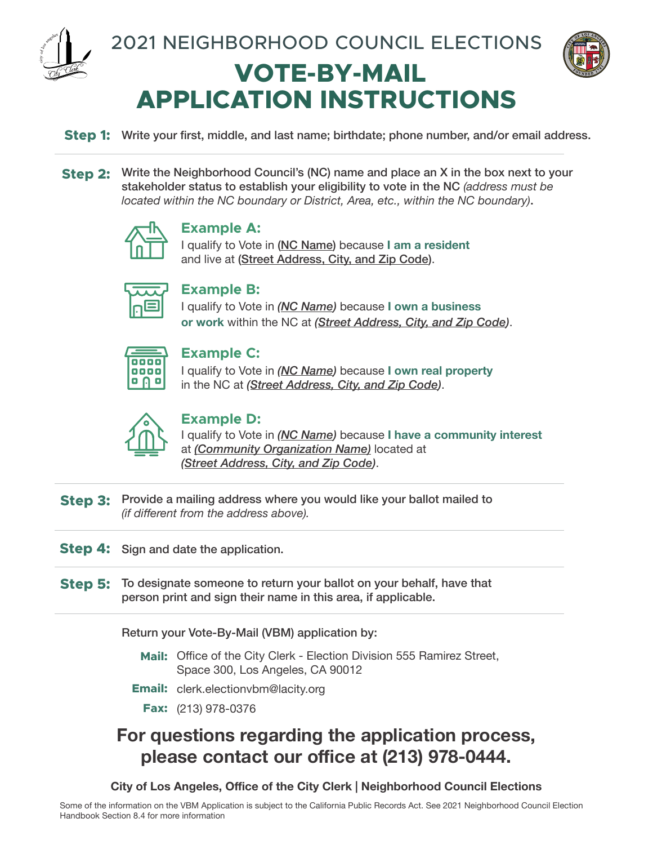

 **VOTE-BY-MAIL APPLICATION INSTRUCTIONS** 2021 NEIGHBORHOOD COUNCIL ELECTIONS



**Step 1:** Write your first, middle, and last name; birthdate; phone number, and/or email address.

**Step 2:** Write the Neighborhood Council's (NC) name and place an X in the box next to your stakeholder status to establish your eligibility to vote in the NC *(address must be located within the NC boundary or District, Area, etc., within the NC boundary)*.



## **Example A:**

I qualify to Vote in (NC Name) because **I am a resident** and live at (Street Address, City, and Zip Code).

## **Example B:**

I qualify to Vote in *(NC Name)* because **I own a business or work** within the NC at *(Street Address, City, and Zip Code)*.

| ۰<br>o<br>п<br>o           |  |
|----------------------------|--|
| n<br>п<br>г<br>ı<br>ı<br>г |  |
|                            |  |

## **Example C:**

I qualify to Vote in *(NC Name)* because **I own real property**  in the NC at *(Street Address, City, and Zip Code)*.



## **Example D:**

I qualify to Vote in *(NC Name)* because **I have a community interest** at *(Community Organization Name)* located at *(Street Address, City, and Zip Code)*.

**Step 3:** Provide a mailing address where you would like your ballot mailed to *(if different from the address above).*

**Step 4:** Sign and date the application.

**Step 5:** To designate someone to return your ballot on your behalf, have that person print and sign their name in this area, if applicable.

Return your Vote-By-Mail (VBM) application by:

- **Mail:** Office of the City Clerk Election Division 555 Ramirez Street, Space 300, Los Angeles, CA 90012
- **Email:** clerk.electionvbm@lacity.org
	- **Fax:** (213) 978-0376

## **For questions regarding the application process, please contact our office at (213) 978-0444.**

**City of Los Angeles, Office of the City Clerk | Neighborhood Council Elections**